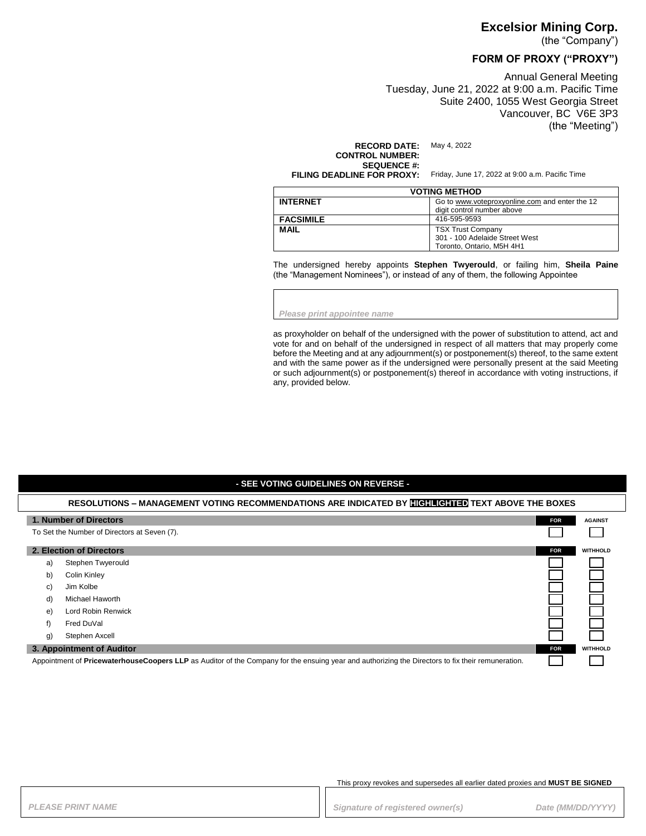### **Excelsior Mining Corp.**

(the "Company")

# **FORM OF PROXY ("PROXY")**

Annual General Meeting Tuesday, June 21, 2022 at 9:00 a.m. Pacific Time Suite 2400, 1055 West Georgia Street Vancouver, BC V6E 3P3 (the "Meeting")

**RECORD DATE:** May 4, 2022

**CONTROL NUMBER: SEQUENCE #:**<br>FILING DEADLINE FOR PROXY:

Friday, June 17, 2022 at 9:00 a.m. Pacific Time

| <b>VOTING METHOD</b> |                                                                                         |
|----------------------|-----------------------------------------------------------------------------------------|
| <b>INTERNET</b>      | Go to www.voteproxyonline.com and enter the 12<br>digit control number above            |
| <b>FACSIMILE</b>     | 416-595-9593                                                                            |
| <b>MAIL</b>          | <b>TSX Trust Company</b><br>301 - 100 Adelaide Street West<br>Toronto, Ontario, M5H 4H1 |

The undersigned hereby appoints **Stephen Twyerould**, or failing him, **Sheila Paine** (the "Management Nominees"), or instead of any of them, the following Appointee

*Please print appointee name*

as proxyholder on behalf of the undersigned with the power of substitution to attend, act and vote for and on behalf of the undersigned in respect of all matters that may properly come before the Meeting and at any adjournment(s) or postponement(s) thereof, to the same extent and with the same power as if the undersigned were personally present at the said Meeting or such adjournment(s) or postponement(s) thereof in accordance with voting instructions, if any, provided below.

### **- SEE VOTING GUIDELINES ON REVERSE -**

# **RESOLUTIONS – MANAGEMENT VOTING RECOMMENDATIONS ARE INDICATED BY HIGHLIGHTED TEXT ABOVE THE BOXES 1. Number of Directors FOR FOR FOR FOR FOR FOR FOR FOR FOR FOR FOR FOR FOR FOR AGAINST** To Set the Number of Directors at Seven (7). **2. Election of Directors FOR WITHHOLD** a) Stephen Twyerould b) Colin Kinley c) Jim Kolbe d) Michael Haworth e) Lord Robin Renwick

f) Fred DuVal

g) Stephen Axcell

#### **3. Appointment of Auditor FOR WITHHOLD**

Appointment of **PricewaterhouseCoopers LLP** as Auditor of the Company for the ensuing year and authorizing the Directors to fix their remuneration.

#### This proxy revokes and supersedes all earlier dated proxies and **MUST BE SIGNED**